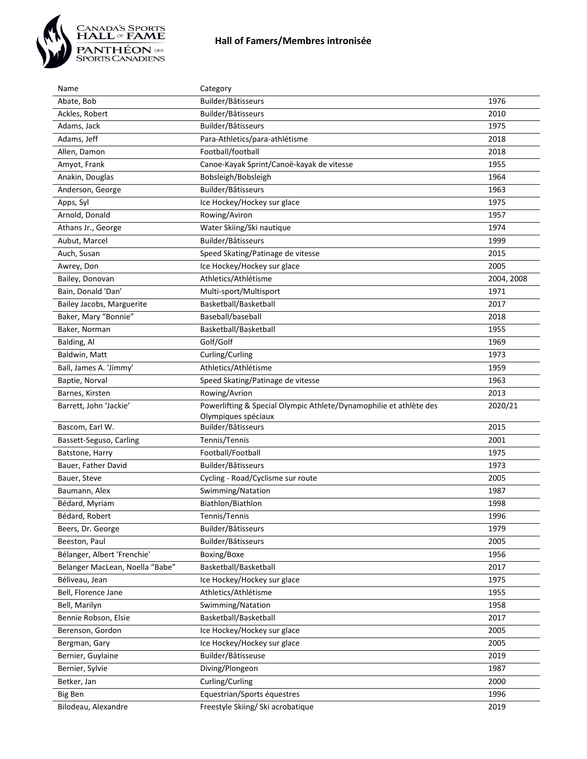

| Name                            | Category                                                                                  |            |
|---------------------------------|-------------------------------------------------------------------------------------------|------------|
| Abate, Bob                      | Builder/Bâtisseurs                                                                        | 1976       |
| Ackles, Robert                  | Builder/Bâtisseurs                                                                        | 2010       |
| Adams, Jack                     | Builder/Bâtisseurs                                                                        | 1975       |
| Adams, Jeff                     | Para-Athletics/para-athlétisme                                                            | 2018       |
| Allen, Damon                    | Football/football                                                                         | 2018       |
| Amyot, Frank                    | Canoe-Kayak Sprint/Canoë-kayak de vitesse                                                 | 1955       |
| Anakin, Douglas                 | Bobsleigh/Bobsleigh                                                                       | 1964       |
| Anderson, George                | Builder/Bâtisseurs                                                                        | 1963       |
| Apps, Syl                       | Ice Hockey/Hockey sur glace                                                               | 1975       |
| Arnold, Donald                  | Rowing/Aviron                                                                             | 1957       |
| Athans Jr., George              | Water Skiing/Ski nautique                                                                 | 1974       |
| Aubut, Marcel                   | Builder/Bâtisseurs                                                                        | 1999       |
| Auch, Susan                     | Speed Skating/Patinage de vitesse                                                         | 2015       |
| Awrey, Don                      | Ice Hockey/Hockey sur glace                                                               | 2005       |
| Bailey, Donovan                 | Athletics/Athlétisme                                                                      | 2004, 2008 |
| Bain, Donald 'Dan'              | Multi-sport/Multisport                                                                    | 1971       |
| Bailey Jacobs, Marguerite       | Basketball/Basketball                                                                     | 2017       |
| Baker, Mary "Bonnie"            | Baseball/baseball                                                                         | 2018       |
| Baker, Norman                   | Basketball/Basketball                                                                     | 1955       |
| Balding, Al                     | Golf/Golf                                                                                 | 1969       |
| Baldwin, Matt                   | Curling/Curling                                                                           | 1973       |
| Ball, James A. 'Jimmy'          | Athletics/Athlétisme                                                                      | 1959       |
| Baptie, Norval                  | Speed Skating/Patinage de vitesse                                                         | 1963       |
| Barnes, Kirsten                 | Rowing/Avrion                                                                             | 2013       |
|                                 |                                                                                           |            |
| Barrett, John 'Jackie'          | Powerlifting & Special Olympic Athlete/Dynamophilie et athlète des<br>Olympiques spéciaux | 2020/21    |
| Bascom, Earl W.                 | Builder/Bâtisseurs                                                                        | 2015       |
| Bassett-Seguso, Carling         | Tennis/Tennis                                                                             | 2001       |
| Batstone, Harry                 | Football/Football                                                                         | 1975       |
| Bauer, Father David             | Builder/Bâtisseurs                                                                        | 1973       |
| Bauer, Steve                    | Cycling - Road/Cyclisme sur route                                                         | 2005       |
| Baumann, Alex                   | Swimming/Natation                                                                         | 1987       |
| Bédard, Myriam                  | Biathlon/Biathlon                                                                         | 1998       |
| Bédard, Robert                  | Tennis/Tennis                                                                             | 1996       |
| Beers, Dr. George               | Builder/Bâtisseurs                                                                        | 1979       |
| Beeston, Paul                   | Builder/Bâtisseurs                                                                        | 2005       |
| Bélanger, Albert 'Frenchie'     | Boxing/Boxe                                                                               | 1956       |
| Belanger MacLean, Noella "Babe" | Basketball/Basketball                                                                     | 2017       |
| Béliveau, Jean                  | Ice Hockey/Hockey sur glace                                                               | 1975       |
| Bell, Florence Jane             | Athletics/Athlétisme                                                                      | 1955       |
| Bell, Marilyn                   | Swimming/Natation                                                                         | 1958       |
| Bennie Robson, Elsie            | Basketball/Basketball                                                                     | 2017       |
| Berenson, Gordon                | Ice Hockey/Hockey sur glace                                                               | 2005       |
| Bergman, Gary                   | Ice Hockey/Hockey sur glace                                                               | 2005       |
| Bernier, Guylaine               | Builder/Bâtisseuse                                                                        | 2019       |
| Bernier, Sylvie                 | Diving/Plongeon                                                                           | 1987       |
| Betker, Jan                     | Curling/Curling                                                                           | 2000       |
| <b>Big Ben</b>                  | Equestrian/Sports équestres<br>Freestyle Skiing/ Ski acrobatique                          | 1996       |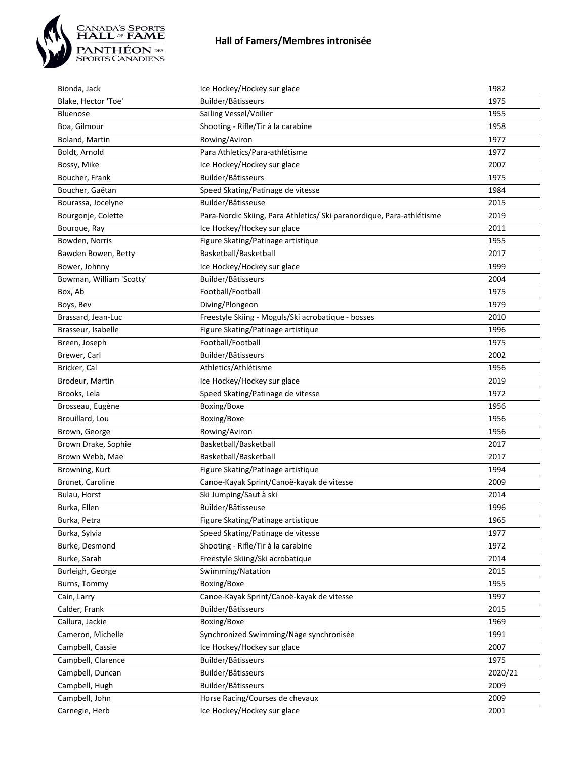

| Bionda, Jack             | Ice Hockey/Hockey sur glace                                           | 1982    |
|--------------------------|-----------------------------------------------------------------------|---------|
| Blake, Hector 'Toe'      | Builder/Bâtisseurs                                                    | 1975    |
| Bluenose                 | Sailing Vessel/Voilier                                                | 1955    |
| Boa, Gilmour             | Shooting - Rifle/Tir à la carabine                                    | 1958    |
| Boland, Martin           | Rowing/Aviron                                                         | 1977    |
| Boldt, Arnold            | Para Athletics/Para-athlétisme                                        | 1977    |
| Bossy, Mike              | Ice Hockey/Hockey sur glace                                           | 2007    |
| Boucher, Frank           | Builder/Bâtisseurs                                                    | 1975    |
| Boucher, Gaëtan          | Speed Skating/Patinage de vitesse                                     | 1984    |
| Bourassa, Jocelyne       | Builder/Bâtisseuse                                                    | 2015    |
| Bourgonje, Colette       | Para-Nordic Skiing, Para Athletics/ Ski paranordique, Para-athlétisme | 2019    |
| Bourque, Ray             | Ice Hockey/Hockey sur glace                                           | 2011    |
| Bowden, Norris           | Figure Skating/Patinage artistique                                    | 1955    |
| Bawden Bowen, Betty      | Basketball/Basketball                                                 | 2017    |
| Bower, Johnny            | Ice Hockey/Hockey sur glace                                           | 1999    |
| Bowman, William 'Scotty' | Builder/Bâtisseurs                                                    | 2004    |
| Box, Ab                  | Football/Football                                                     | 1975    |
| Boys, Bev                | Diving/Plongeon                                                       | 1979    |
| Brassard, Jean-Luc       | Freestyle Skiing - Moguls/Ski acrobatique - bosses                    | 2010    |
| Brasseur, Isabelle       | Figure Skating/Patinage artistique                                    | 1996    |
| Breen, Joseph            | Football/Football                                                     | 1975    |
| Brewer, Carl             | Builder/Bâtisseurs                                                    | 2002    |
| Bricker, Cal             | Athletics/Athlétisme                                                  | 1956    |
| Brodeur, Martin          | Ice Hockey/Hockey sur glace                                           | 2019    |
| Brooks, Lela             | Speed Skating/Patinage de vitesse                                     | 1972    |
| Brosseau, Eugène         | Boxing/Boxe                                                           | 1956    |
| Brouillard, Lou          | Boxing/Boxe                                                           | 1956    |
| Brown, George            | Rowing/Aviron                                                         | 1956    |
| Brown Drake, Sophie      | Basketball/Basketball                                                 | 2017    |
| Brown Webb, Mae          | Basketball/Basketball                                                 | 2017    |
| Browning, Kurt           | Figure Skating/Patinage artistique                                    | 1994    |
| Brunet, Caroline         | Canoe-Kayak Sprint/Canoë-kayak de vitesse                             | 2009    |
| Bulau, Horst             | Ski Jumping/Saut à ski                                                | 2014    |
| Burka, Ellen             | Builder/Bâtisseuse                                                    | 1996    |
| Burka, Petra             | Figure Skating/Patinage artistique                                    | 1965    |
| Burka, Sylvia            | Speed Skating/Patinage de vitesse                                     | 1977    |
| Burke, Desmond           | Shooting - Rifle/Tir à la carabine                                    | 1972    |
| Burke, Sarah             | Freestyle Skiing/Ski acrobatique                                      | 2014    |
| Burleigh, George         | Swimming/Natation                                                     | 2015    |
| Burns, Tommy             | Boxing/Boxe                                                           | 1955    |
| Cain, Larry              | Canoe-Kayak Sprint/Canoë-kayak de vitesse                             | 1997    |
| Calder, Frank            | Builder/Bâtisseurs                                                    | 2015    |
| Callura, Jackie          | Boxing/Boxe                                                           | 1969    |
| Cameron, Michelle        | Synchronized Swimming/Nage synchronisée                               | 1991    |
| Campbell, Cassie         | Ice Hockey/Hockey sur glace                                           | 2007    |
| Campbell, Clarence       | Builder/Bâtisseurs                                                    | 1975    |
| Campbell, Duncan         | Builder/Bâtisseurs                                                    | 2020/21 |
| Campbell, Hugh           | Builder/Bâtisseurs                                                    | 2009    |
| Campbell, John           | Horse Racing/Courses de chevaux                                       | 2009    |
| Carnegie, Herb           | Ice Hockey/Hockey sur glace                                           | 2001    |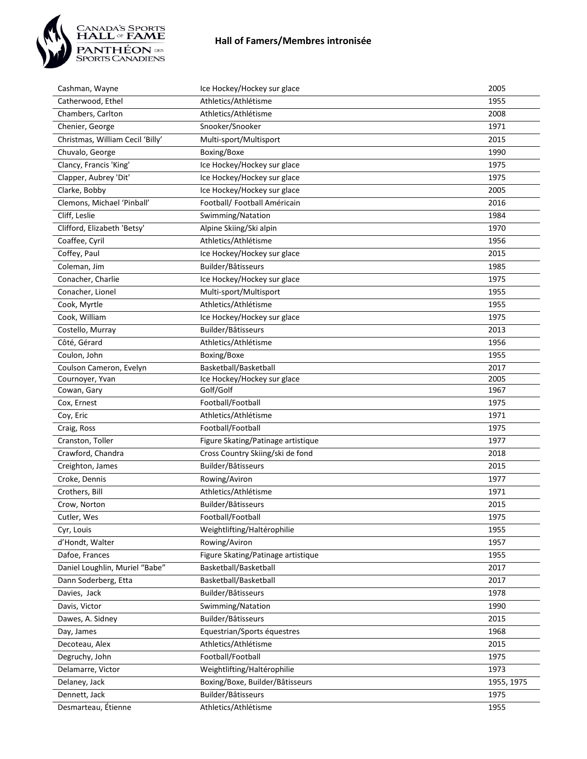

| Cashman, Wayne                   | Ice Hockey/Hockey sur glace        | 2005       |
|----------------------------------|------------------------------------|------------|
| Catherwood, Ethel                | Athletics/Athlétisme               | 1955       |
| Chambers, Carlton                | Athletics/Athlétisme               | 2008       |
| Chenier, George                  | Snooker/Snooker                    | 1971       |
| Christmas, William Cecil 'Billy' | Multi-sport/Multisport             | 2015       |
| Chuvalo, George                  | Boxing/Boxe                        | 1990       |
| Clancy, Francis 'King'           | Ice Hockey/Hockey sur glace        | 1975       |
| Clapper, Aubrey 'Dit'            | Ice Hockey/Hockey sur glace        | 1975       |
| Clarke, Bobby                    | Ice Hockey/Hockey sur glace        | 2005       |
| Clemons, Michael 'Pinball'       | Football/ Football Américain       | 2016       |
| Cliff, Leslie                    | Swimming/Natation                  | 1984       |
| Clifford, Elizabeth 'Betsy'      | Alpine Skiing/Ski alpin            | 1970       |
| Coaffee, Cyril                   | Athletics/Athlétisme               | 1956       |
| Coffey, Paul                     | Ice Hockey/Hockey sur glace        | 2015       |
| Coleman, Jim                     | Builder/Bâtisseurs                 | 1985       |
| Conacher, Charlie                | Ice Hockey/Hockey sur glace        | 1975       |
| Conacher, Lionel                 | Multi-sport/Multisport             | 1955       |
| Cook, Myrtle                     | Athletics/Athlétisme               | 1955       |
| Cook, William                    | Ice Hockey/Hockey sur glace        | 1975       |
| Costello, Murray                 | Builder/Bâtisseurs                 | 2013       |
| Côté, Gérard                     | Athletics/Athlétisme               | 1956       |
| Coulon, John                     | Boxing/Boxe                        | 1955       |
| Coulson Cameron, Evelyn          | Basketball/Basketball              | 2017       |
| Cournoyer, Yvan                  | Ice Hockey/Hockey sur glace        | 2005       |
| Cowan, Gary                      | Golf/Golf                          | 1967       |
| Cox, Ernest                      | Football/Football                  | 1975       |
| Coy, Eric                        | Athletics/Athlétisme               | 1971       |
| Craig, Ross                      | Football/Football                  | 1975       |
| Cranston, Toller                 | Figure Skating/Patinage artistique | 1977       |
| Crawford, Chandra                | Cross Country Skiing/ski de fond   | 2018       |
| Creighton, James                 | Builder/Bâtisseurs                 | 2015       |
| Croke, Dennis                    | Rowing/Aviron                      | 1977       |
| Crothers, Bill                   | Athletics/Athlétisme               | 1971       |
| Crow, Norton                     | Builder/Bâtisseurs                 | 2015       |
| Cutler, Wes                      | Football/Football                  | 1975       |
| Cyr, Louis                       | Weightlifting/Haltérophilie        | 1955       |
| d'Hondt, Walter                  | Rowing/Aviron                      | 1957       |
| Dafoe, Frances                   | Figure Skating/Patinage artistique | 1955       |
| Daniel Loughlin, Muriel "Babe"   | Basketball/Basketball              | 2017       |
| Dann Soderberg, Etta             | Basketball/Basketball              | 2017       |
| Davies, Jack                     | Builder/Bâtisseurs                 | 1978       |
| Davis, Victor                    | Swimming/Natation                  | 1990       |
| Dawes, A. Sidney                 | Builder/Bâtisseurs                 | 2015       |
| Day, James                       | Equestrian/Sports équestres        | 1968       |
| Decoteau, Alex                   | Athletics/Athlétisme               | 2015       |
| Degruchy, John                   | Football/Football                  | 1975       |
| Delamarre, Victor                | Weightlifting/Haltérophilie        | 1973       |
| Delaney, Jack                    | Boxing/Boxe, Builder/Bâtisseurs    | 1955, 1975 |
| Dennett, Jack                    | Builder/Bâtisseurs                 | 1975       |
| Desmarteau, Étienne              | Athletics/Athlétisme               | 1955       |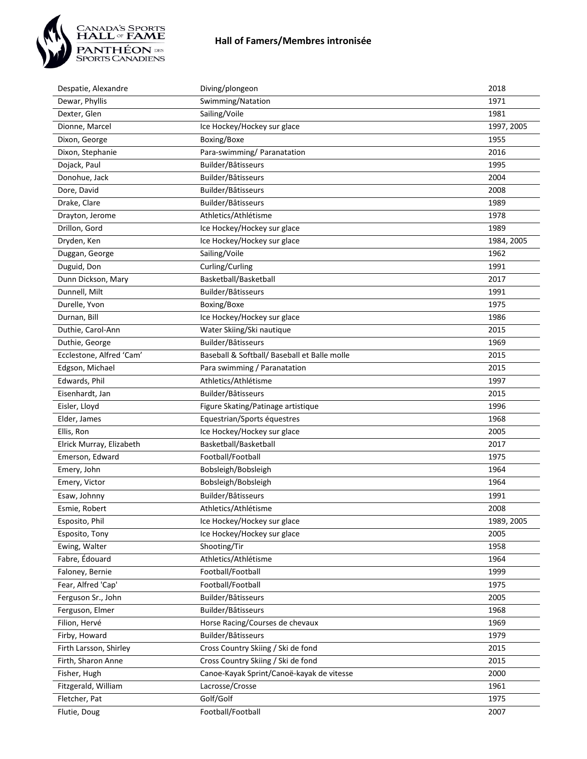

| Despatie, Alexandre      | Diving/plongeon                              | 2018       |
|--------------------------|----------------------------------------------|------------|
| Dewar, Phyllis           | Swimming/Natation                            | 1971       |
| Dexter, Glen             | Sailing/Voile                                | 1981       |
| Dionne, Marcel           | Ice Hockey/Hockey sur glace                  | 1997, 2005 |
| Dixon, George            | Boxing/Boxe                                  | 1955       |
| Dixon, Stephanie         | Para-swimming/ Paranatation                  | 2016       |
| Dojack, Paul             | Builder/Bâtisseurs                           | 1995       |
| Donohue, Jack            | Builder/Bâtisseurs                           | 2004       |
| Dore, David              | Builder/Bâtisseurs                           | 2008       |
| Drake, Clare             | Builder/Bâtisseurs                           | 1989       |
| Drayton, Jerome          | Athletics/Athlétisme                         | 1978       |
| Drillon, Gord            | Ice Hockey/Hockey sur glace                  | 1989       |
| Dryden, Ken              | Ice Hockey/Hockey sur glace                  | 1984, 2005 |
| Duggan, George           | Sailing/Voile                                | 1962       |
| Duguid, Don              | Curling/Curling                              | 1991       |
| Dunn Dickson, Mary       | Basketball/Basketball                        | 2017       |
| Dunnell, Milt            | Builder/Bâtisseurs                           | 1991       |
| Durelle, Yvon            | Boxing/Boxe                                  | 1975       |
| Durnan, Bill             | Ice Hockey/Hockey sur glace                  | 1986       |
| Duthie, Carol-Ann        | Water Skiing/Ski nautique                    | 2015       |
| Duthie, George           | Builder/Bâtisseurs                           | 1969       |
| Ecclestone, Alfred 'Cam' | Baseball & Softball/ Baseball et Balle molle | 2015       |
| Edgson, Michael          | Para swimming / Paranatation                 | 2015       |
| Edwards, Phil            | Athletics/Athlétisme                         | 1997       |
| Eisenhardt, Jan          | Builder/Bâtisseurs                           | 2015       |
| Eisler, Lloyd            | Figure Skating/Patinage artistique           | 1996       |
| Elder, James             | Equestrian/Sports équestres                  | 1968       |
| Ellis, Ron               | Ice Hockey/Hockey sur glace                  | 2005       |
| Elrick Murray, Elizabeth | Basketball/Basketball                        | 2017       |
| Emerson, Edward          | Football/Football                            | 1975       |
| Emery, John              | Bobsleigh/Bobsleigh                          | 1964       |
| Emery, Victor            | Bobsleigh/Bobsleigh                          | 1964       |
| Esaw, Johnny             | Builder/Bâtisseurs                           | 1991       |
| Esmie, Robert            | Athletics/Athlétisme                         | 2008       |
| Esposito, Phil           | Ice Hockey/Hockey sur glace                  | 1989, 2005 |
| Esposito, Tony           | Ice Hockey/Hockey sur glace                  | 2005       |
| Ewing, Walter            | Shooting/Tir                                 | 1958       |
| Fabre, Édouard           | Athletics/Athlétisme                         | 1964       |
| Faloney, Bernie          | Football/Football                            | 1999       |
| Fear, Alfred 'Cap'       | Football/Football                            | 1975       |
| Ferguson Sr., John       | Builder/Bâtisseurs                           | 2005       |
| Ferguson, Elmer          | Builder/Bâtisseurs                           | 1968       |
| Filion, Hervé            | Horse Racing/Courses de chevaux              | 1969       |
| Firby, Howard            | Builder/Bâtisseurs                           | 1979       |
| Firth Larsson, Shirley   | Cross Country Skiing / Ski de fond           | 2015       |
| Firth, Sharon Anne       | Cross Country Skiing / Ski de fond           | 2015       |
| Fisher, Hugh             | Canoe-Kayak Sprint/Canoë-kayak de vitesse    | 2000       |
| Fitzgerald, William      | Lacrosse/Crosse                              | 1961       |
| Fletcher, Pat            | Golf/Golf                                    | 1975       |
| Flutie, Doug             | Football/Football                            | 2007       |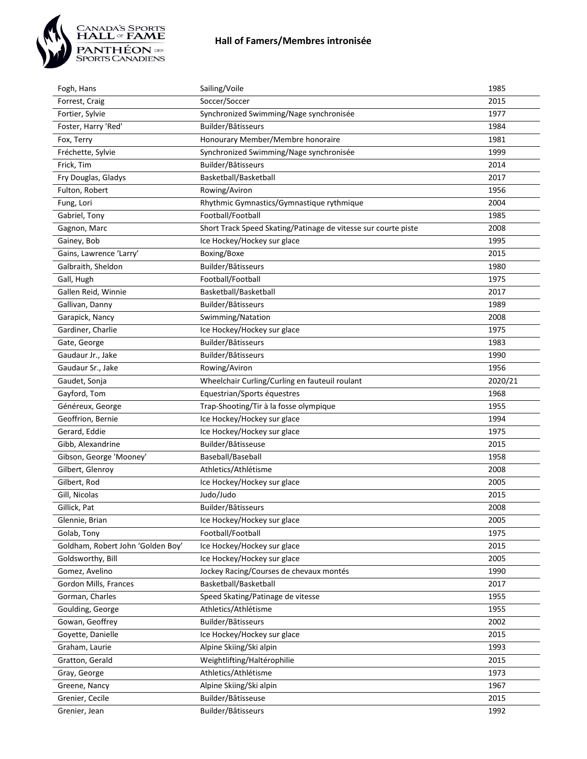

| Fogh, Hans                        | Sailing/Voile                                                  | 1985    |
|-----------------------------------|----------------------------------------------------------------|---------|
| Forrest, Craig                    | Soccer/Soccer                                                  | 2015    |
| Fortier, Sylvie                   | Synchronized Swimming/Nage synchronisée                        | 1977    |
| Foster, Harry 'Red'               | Builder/Bâtisseurs                                             | 1984    |
| Fox, Terry                        | Honourary Member/Membre honoraire                              | 1981    |
| Fréchette, Sylvie                 | Synchronized Swimming/Nage synchronisée                        | 1999    |
| Frick, Tim                        | Builder/Bâtisseurs                                             | 2014    |
| Fry Douglas, Gladys               | Basketball/Basketball                                          | 2017    |
| Fulton, Robert                    | Rowing/Aviron                                                  | 1956    |
| Fung, Lori                        | Rhythmic Gymnastics/Gymnastique rythmique                      | 2004    |
| Gabriel, Tony                     | Football/Football                                              | 1985    |
| Gagnon, Marc                      | Short Track Speed Skating/Patinage de vitesse sur courte piste | 2008    |
| Gainey, Bob                       | Ice Hockey/Hockey sur glace                                    | 1995    |
| Gains, Lawrence 'Larry'           | Boxing/Boxe                                                    | 2015    |
| Galbraith, Sheldon                | Builder/Bâtisseurs                                             | 1980    |
| Gall, Hugh                        | Football/Football                                              | 1975    |
| Gallen Reid, Winnie               | Basketball/Basketball                                          | 2017    |
| Gallivan, Danny                   | Builder/Bâtisseurs                                             | 1989    |
| Garapick, Nancy                   | Swimming/Natation                                              | 2008    |
| Gardiner, Charlie                 | Ice Hockey/Hockey sur glace                                    | 1975    |
| Gate, George                      | Builder/Bâtisseurs                                             | 1983    |
| Gaudaur Jr., Jake                 | Builder/Bâtisseurs                                             | 1990    |
| Gaudaur Sr., Jake                 | Rowing/Aviron                                                  | 1956    |
| Gaudet, Sonja                     | Wheelchair Curling/Curling en fauteuil roulant                 | 2020/21 |
| Gayford, Tom                      | Equestrian/Sports équestres                                    | 1968    |
| Généreux, George                  | Trap-Shooting/Tir à la fosse olympique                         | 1955    |
| Geoffrion, Bernie                 | Ice Hockey/Hockey sur glace                                    | 1994    |
| Gerard, Eddie                     | Ice Hockey/Hockey sur glace                                    | 1975    |
| Gibb, Alexandrine                 | Builder/Bâtisseuse                                             | 2015    |
| Gibson, George 'Mooney'           | Baseball/Baseball                                              | 1958    |
| Gilbert, Glenroy                  | Athletics/Athlétisme                                           | 2008    |
| Gilbert, Rod                      | Ice Hockey/Hockey sur glace                                    | 2005    |
| Gill, Nicolas                     | Judo/Judo                                                      | 2015    |
| Gillick, Pat                      | Builder/Bâtisseurs                                             | 2008    |
| Glennie, Brian                    | Ice Hockey/Hockey sur glace                                    | 2005    |
| Golab, Tony                       | Football/Football                                              | 1975    |
| Goldham, Robert John 'Golden Boy' | Ice Hockey/Hockey sur glace                                    | 2015    |
| Goldsworthy, Bill                 | Ice Hockey/Hockey sur glace                                    | 2005    |
| Gomez, Avelino                    | Jockey Racing/Courses de chevaux montés                        | 1990    |
| Gordon Mills, Frances             | Basketball/Basketball                                          | 2017    |
| Gorman, Charles                   | Speed Skating/Patinage de vitesse                              | 1955    |
| Goulding, George                  | Athletics/Athlétisme                                           | 1955    |
| Gowan, Geoffrey                   | Builder/Bâtisseurs                                             | 2002    |
| Goyette, Danielle                 | Ice Hockey/Hockey sur glace                                    | 2015    |
| Graham, Laurie                    | Alpine Skiing/Ski alpin                                        | 1993    |
| Gratton, Gerald                   | Weightlifting/Haltérophilie                                    | 2015    |
| Gray, George                      | Athletics/Athlétisme                                           | 1973    |
| Greene, Nancy                     | Alpine Skiing/Ski alpin                                        | 1967    |
| Grenier, Cecile                   | Builder/Bâtisseuse                                             | 2015    |
| Grenier, Jean                     | Builder/Bâtisseurs                                             | 1992    |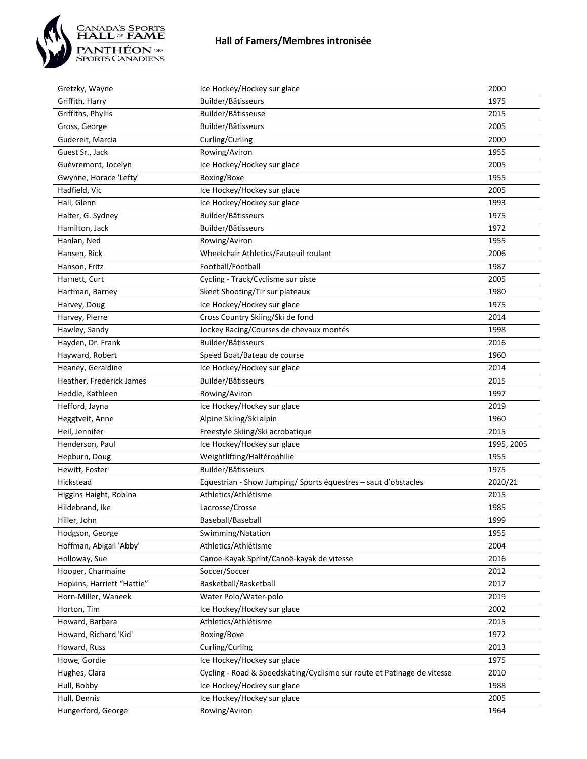

| Gretzky, Wayne             | Ice Hockey/Hockey sur glace                                             | 2000       |
|----------------------------|-------------------------------------------------------------------------|------------|
| Griffith, Harry            | Builder/Bâtisseurs                                                      | 1975       |
| Griffiths, Phyllis         | Builder/Bâtisseuse                                                      | 2015       |
| Gross, George              | Builder/Bâtisseurs                                                      | 2005       |
| Gudereit, Marcia           | Curling/Curling                                                         | 2000       |
| Guest Sr., Jack            | Rowing/Aviron                                                           | 1955       |
| Guèvremont, Jocelyn        | Ice Hockey/Hockey sur glace                                             | 2005       |
| Gwynne, Horace 'Lefty'     | Boxing/Boxe                                                             | 1955       |
| Hadfield, Vic              | Ice Hockey/Hockey sur glace                                             | 2005       |
| Hall, Glenn                | Ice Hockey/Hockey sur glace                                             | 1993       |
| Halter, G. Sydney          | Builder/Bâtisseurs                                                      | 1975       |
| Hamilton, Jack             | Builder/Bâtisseurs                                                      | 1972       |
| Hanlan, Ned                | Rowing/Aviron                                                           | 1955       |
| Hansen, Rick               | Wheelchair Athletics/Fauteuil roulant                                   | 2006       |
| Hanson, Fritz              | Football/Football                                                       | 1987       |
| Harnett, Curt              | Cycling - Track/Cyclisme sur piste                                      | 2005       |
| Hartman, Barney            | Skeet Shooting/Tir sur plateaux                                         | 1980       |
| Harvey, Doug               | Ice Hockey/Hockey sur glace                                             | 1975       |
| Harvey, Pierre             | Cross Country Skiing/Ski de fond                                        | 2014       |
| Hawley, Sandy              | Jockey Racing/Courses de chevaux montés                                 | 1998       |
| Hayden, Dr. Frank          | Builder/Bâtisseurs                                                      | 2016       |
| Hayward, Robert            | Speed Boat/Bateau de course                                             | 1960       |
| Heaney, Geraldine          | Ice Hockey/Hockey sur glace                                             | 2014       |
| Heather, Frederick James   | Builder/Bâtisseurs                                                      | 2015       |
| Heddle, Kathleen           | Rowing/Aviron                                                           | 1997       |
| Hefford, Jayna             | Ice Hockey/Hockey sur glace                                             | 2019       |
| Heggtveit, Anne            | Alpine Skiing/Ski alpin                                                 | 1960       |
| Heil, Jennifer             | Freestyle Skiing/Ski acrobatique                                        | 2015       |
| Henderson, Paul            | Ice Hockey/Hockey sur glace                                             | 1995, 2005 |
| Hepburn, Doug              | Weightlifting/Haltérophilie                                             | 1955       |
| Hewitt, Foster             | Builder/Bâtisseurs                                                      | 1975       |
| Hickstead                  | Equestrian - Show Jumping/ Sports équestres - saut d'obstacles          | 2020/21    |
| Higgins Haight, Robina     | Athletics/Athlétisme                                                    | 2015       |
| Hildebrand, Ike            | Lacrosse/Crosse                                                         | 1985       |
| Hiller, John               | Baseball/Baseball                                                       | 1999       |
| Hodgson, George            | Swimming/Natation                                                       | 1955       |
| Hoffman, Abigail 'Abby'    | Athletics/Athlétisme                                                    | 2004       |
| Holloway, Sue              | Canoe-Kayak Sprint/Canoë-kayak de vitesse                               | 2016       |
| Hooper, Charmaine          | Soccer/Soccer                                                           | 2012       |
| Hopkins, Harriett "Hattie" | Basketball/Basketball                                                   | 2017       |
| Horn-Miller, Waneek        | Water Polo/Water-polo                                                   | 2019       |
| Horton, Tim                | Ice Hockey/Hockey sur glace                                             | 2002       |
| Howard, Barbara            | Athletics/Athlétisme                                                    | 2015       |
| Howard, Richard 'Kid'      | Boxing/Boxe                                                             | 1972       |
| Howard, Russ               | Curling/Curling                                                         | 2013       |
| Howe, Gordie               | Ice Hockey/Hockey sur glace                                             | 1975       |
| Hughes, Clara              | Cycling - Road & Speedskating/Cyclisme sur route et Patinage de vitesse | 2010       |
| Hull, Bobby                | Ice Hockey/Hockey sur glace                                             | 1988       |
| Hull, Dennis               | Ice Hockey/Hockey sur glace                                             | 2005       |
| Hungerford, George         | Rowing/Aviron                                                           | 1964       |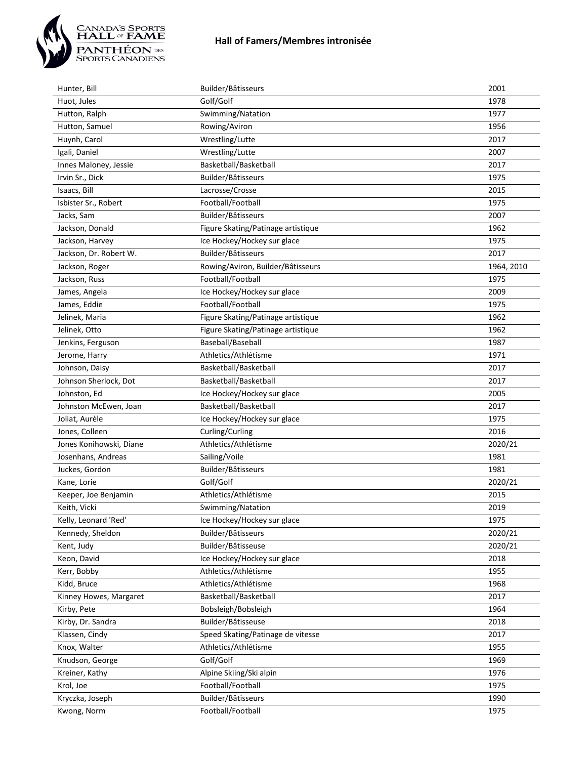

| Hunter, Bill            | Builder/Bâtisseurs                 | 2001       |
|-------------------------|------------------------------------|------------|
| Huot, Jules             | Golf/Golf                          | 1978       |
| Hutton, Ralph           | Swimming/Natation                  | 1977       |
| Hutton, Samuel          | Rowing/Aviron                      | 1956       |
| Huynh, Carol            | Wrestling/Lutte                    | 2017       |
| Igali, Daniel           | Wrestling/Lutte                    | 2007       |
| Innes Maloney, Jessie   | Basketball/Basketball              | 2017       |
| Irvin Sr., Dick         | Builder/Bâtisseurs                 | 1975       |
| Isaacs, Bill            | Lacrosse/Crosse                    | 2015       |
| Isbister Sr., Robert    | Football/Football                  | 1975       |
| Jacks, Sam              | Builder/Bâtisseurs                 | 2007       |
| Jackson, Donald         | Figure Skating/Patinage artistique | 1962       |
| Jackson, Harvey         | Ice Hockey/Hockey sur glace        | 1975       |
| Jackson, Dr. Robert W.  | Builder/Bâtisseurs                 | 2017       |
| Jackson, Roger          | Rowing/Aviron, Builder/Bâtisseurs  | 1964, 2010 |
| Jackson, Russ           | Football/Football                  | 1975       |
| James, Angela           | Ice Hockey/Hockey sur glace        | 2009       |
| James, Eddie            | Football/Football                  | 1975       |
| Jelinek, Maria          | Figure Skating/Patinage artistique | 1962       |
| Jelinek, Otto           | Figure Skating/Patinage artistique | 1962       |
| Jenkins, Ferguson       | Baseball/Baseball                  | 1987       |
| Jerome, Harry           | Athletics/Athlétisme               | 1971       |
| Johnson, Daisy          | Basketball/Basketball              | 2017       |
| Johnson Sherlock, Dot   | Basketball/Basketball              | 2017       |
| Johnston, Ed            | Ice Hockey/Hockey sur glace        | 2005       |
| Johnston McEwen, Joan   | Basketball/Basketball              | 2017       |
| Joliat, Aurèle          | Ice Hockey/Hockey sur glace        | 1975       |
| Jones, Colleen          | Curling/Curling                    | 2016       |
| Jones Konihowski, Diane | Athletics/Athlétisme               | 2020/21    |
| Josenhans, Andreas      | Sailing/Voile                      | 1981       |
| Juckes, Gordon          | Builder/Bâtisseurs                 | 1981       |
| Kane, Lorie             | Golf/Golf                          | 2020/21    |
| Keeper, Joe Benjamin    | Athletics/Athlétisme               | 2015       |
| Keith, Vicki            | Swimming/Natation                  | 2019       |
| Kelly, Leonard 'Red'    | Ice Hockey/Hockey sur glace        | 1975       |
| Kennedy, Sheldon        | Builder/Bâtisseurs                 | 2020/21    |
| Kent, Judy              | Builder/Bâtisseuse                 | 2020/21    |
| Keon, David             | Ice Hockey/Hockey sur glace        | 2018       |
| Kerr, Bobby             | Athletics/Athlétisme               | 1955       |
| Kidd, Bruce             | Athletics/Athlétisme               | 1968       |
| Kinney Howes, Margaret  | Basketball/Basketball              | 2017       |
| Kirby, Pete             | Bobsleigh/Bobsleigh                | 1964       |
| Kirby, Dr. Sandra       | Builder/Bâtisseuse                 | 2018       |
| Klassen, Cindy          | Speed Skating/Patinage de vitesse  | 2017       |
| Knox, Walter            | Athletics/Athlétisme               | 1955       |
| Knudson, George         | Golf/Golf                          | 1969       |
| Kreiner, Kathy          | Alpine Skiing/Ski alpin            | 1976       |
| Krol, Joe               | Football/Football                  | 1975       |
| Kryczka, Joseph         | Builder/Bâtisseurs                 | 1990       |
| Kwong, Norm             | Football/Football                  | 1975       |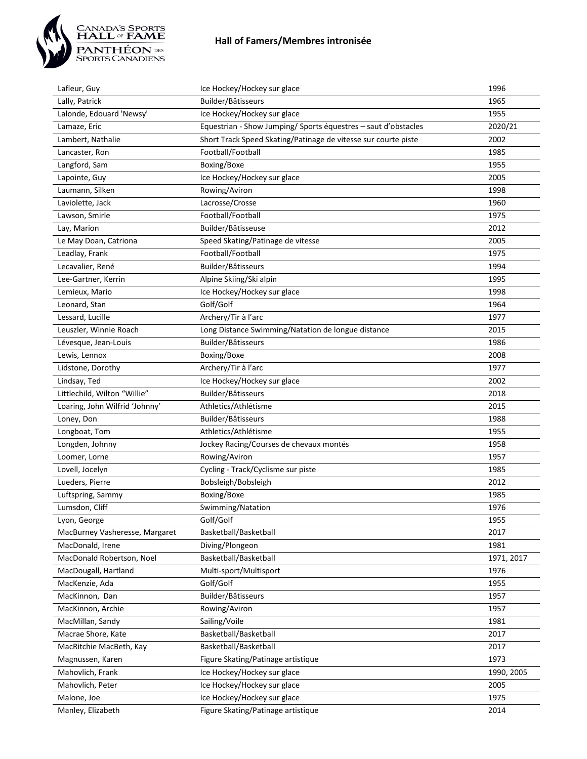

| Lafleur, Guy                   | Ice Hockey/Hockey sur glace                                    | 1996       |
|--------------------------------|----------------------------------------------------------------|------------|
| Lally, Patrick                 | Builder/Bâtisseurs                                             | 1965       |
| Lalonde, Edouard 'Newsy'       | Ice Hockey/Hockey sur glace                                    | 1955       |
| Lamaze, Eric                   | Equestrian - Show Jumping/ Sports équestres - saut d'obstacles | 2020/21    |
| Lambert, Nathalie              | Short Track Speed Skating/Patinage de vitesse sur courte piste | 2002       |
| Lancaster, Ron                 | Football/Football                                              | 1985       |
| Langford, Sam                  | Boxing/Boxe                                                    | 1955       |
| Lapointe, Guy                  | Ice Hockey/Hockey sur glace                                    | 2005       |
| Laumann, Silken                | Rowing/Aviron                                                  | 1998       |
| Laviolette, Jack               | Lacrosse/Crosse                                                | 1960       |
| Lawson, Smirle                 | Football/Football                                              | 1975       |
| Lay, Marion                    | Builder/Bâtisseuse                                             | 2012       |
| Le May Doan, Catriona          | Speed Skating/Patinage de vitesse                              | 2005       |
| Leadlay, Frank                 | Football/Football                                              | 1975       |
| Lecavalier, René               | Builder/Bâtisseurs                                             | 1994       |
| Lee-Gartner, Kerrin            | Alpine Skiing/Ski alpin                                        | 1995       |
| Lemieux, Mario                 | Ice Hockey/Hockey sur glace                                    | 1998       |
| Leonard, Stan                  | Golf/Golf                                                      | 1964       |
| Lessard, Lucille               | Archery/Tir à l'arc                                            | 1977       |
| Leuszler, Winnie Roach         | Long Distance Swimming/Natation de longue distance             | 2015       |
| Lévesque, Jean-Louis           | Builder/Bâtisseurs                                             | 1986       |
| Lewis, Lennox                  | Boxing/Boxe                                                    | 2008       |
| Lidstone, Dorothy              | Archery/Tir à l'arc                                            | 1977       |
| Lindsay, Ted                   | Ice Hockey/Hockey sur glace                                    | 2002       |
| Littlechild, Wilton "Willie"   | Builder/Bâtisseurs                                             | 2018       |
| Loaring, John Wilfrid 'Johnny' | Athletics/Athlétisme                                           | 2015       |
| Loney, Don                     | Builder/Bâtisseurs                                             | 1988       |
| Longboat, Tom                  | Athletics/Athlétisme                                           | 1955       |
| Longden, Johnny                | Jockey Racing/Courses de chevaux montés                        | 1958       |
| Loomer, Lorne                  | Rowing/Aviron                                                  | 1957       |
| Lovell, Jocelyn                | Cycling - Track/Cyclisme sur piste                             | 1985       |
| Lueders, Pierre                | Bobsleigh/Bobsleigh                                            | 2012       |
| Luftspring, Sammy              | Boxing/Boxe                                                    | 1985       |
| Lumsdon, Cliff                 | Swimming/Natation                                              | 1976       |
| Lyon, George                   | Golf/Golf                                                      | 1955       |
| MacBurney Vasheresse, Margaret | Basketball/Basketball                                          | 2017       |
| MacDonald, Irene               | Diving/Plongeon                                                | 1981       |
| MacDonald Robertson, Noel      | Basketball/Basketball                                          | 1971, 2017 |
| MacDougall, Hartland           | Multi-sport/Multisport                                         | 1976       |
| MacKenzie, Ada                 | Golf/Golf                                                      | 1955       |
| MacKinnon, Dan                 | Builder/Bâtisseurs                                             | 1957       |
| MacKinnon, Archie              | Rowing/Aviron                                                  | 1957       |
| MacMillan, Sandy               | Sailing/Voile                                                  | 1981       |
| Macrae Shore, Kate             | Basketball/Basketball                                          | 2017       |
| MacRitchie MacBeth, Kay        | Basketball/Basketball                                          | 2017       |
| Magnussen, Karen               | Figure Skating/Patinage artistique                             | 1973       |
| Mahovlich, Frank               | Ice Hockey/Hockey sur glace                                    | 1990, 2005 |
| Mahovlich, Peter               | Ice Hockey/Hockey sur glace                                    | 2005       |
| Malone, Joe                    | Ice Hockey/Hockey sur glace                                    | 1975       |
| Manley, Elizabeth              | Figure Skating/Patinage artistique                             | 2014       |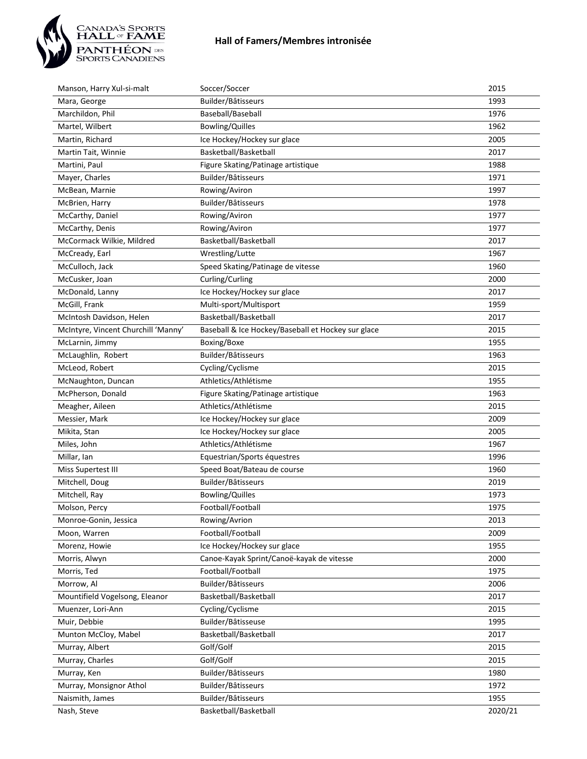

| Manson, Harry Xul-si-malt           | Soccer/Soccer                                      | 2015    |
|-------------------------------------|----------------------------------------------------|---------|
| Mara, George                        | Builder/Bâtisseurs                                 | 1993    |
| Marchildon, Phil                    | Baseball/Baseball                                  | 1976    |
| Martel, Wilbert                     | <b>Bowling/Quilles</b>                             | 1962    |
| Martin, Richard                     | Ice Hockey/Hockey sur glace                        | 2005    |
| Martin Tait, Winnie                 | Basketball/Basketball                              | 2017    |
| Martini, Paul                       | Figure Skating/Patinage artistique                 | 1988    |
| Mayer, Charles                      | Builder/Bâtisseurs                                 | 1971    |
| McBean, Marnie                      | Rowing/Aviron                                      | 1997    |
| McBrien, Harry                      | Builder/Bâtisseurs                                 | 1978    |
| McCarthy, Daniel                    | Rowing/Aviron                                      | 1977    |
| McCarthy, Denis                     | Rowing/Aviron                                      | 1977    |
| McCormack Wilkie, Mildred           | Basketball/Basketball                              | 2017    |
| McCready, Earl                      | Wrestling/Lutte                                    | 1967    |
| McCulloch, Jack                     | Speed Skating/Patinage de vitesse                  | 1960    |
| McCusker, Joan                      | Curling/Curling                                    | 2000    |
| McDonald, Lanny                     | Ice Hockey/Hockey sur glace                        | 2017    |
| McGill, Frank                       | Multi-sport/Multisport                             | 1959    |
| McIntosh Davidson, Helen            | Basketball/Basketball                              | 2017    |
| McIntyre, Vincent Churchill 'Manny' | Baseball & Ice Hockey/Baseball et Hockey sur glace | 2015    |
| McLarnin, Jimmy                     | Boxing/Boxe                                        | 1955    |
| McLaughlin, Robert                  | Builder/Bâtisseurs                                 | 1963    |
| McLeod, Robert                      | Cycling/Cyclisme                                   | 2015    |
| McNaughton, Duncan                  | Athletics/Athlétisme                               | 1955    |
| McPherson, Donald                   | Figure Skating/Patinage artistique                 | 1963    |
| Meagher, Aileen                     | Athletics/Athlétisme                               | 2015    |
| Messier, Mark                       | Ice Hockey/Hockey sur glace                        | 2009    |
| Mikita, Stan                        | Ice Hockey/Hockey sur glace                        | 2005    |
| Miles, John                         | Athletics/Athlétisme                               | 1967    |
| Millar, lan                         | Equestrian/Sports équestres                        | 1996    |
| Miss Supertest III                  | Speed Boat/Bateau de course                        | 1960    |
| Mitchell, Doug                      | Builder/Bâtisseurs                                 | 2019    |
| Mitchell, Ray                       | <b>Bowling/Quilles</b>                             | 1973    |
| Molson, Percy                       | Football/Football                                  | 1975    |
| Monroe-Gonin, Jessica               | Rowing/Avrion                                      | 2013    |
| Moon, Warren                        | Football/Football                                  | 2009    |
| Morenz, Howie                       | Ice Hockey/Hockey sur glace                        | 1955    |
| Morris, Alwyn                       | Canoe-Kayak Sprint/Canoë-kayak de vitesse          | 2000    |
| Morris, Ted                         | Football/Football                                  | 1975    |
| Morrow, Al                          | Builder/Bâtisseurs                                 | 2006    |
| Mountifield Vogelsong, Eleanor      | Basketball/Basketball                              | 2017    |
| Muenzer, Lori-Ann                   | Cycling/Cyclisme                                   | 2015    |
| Muir, Debbie                        | Builder/Bâtisseuse                                 | 1995    |
| Munton McCloy, Mabel                | Basketball/Basketball                              | 2017    |
| Murray, Albert                      | Golf/Golf                                          | 2015    |
| Murray, Charles                     | Golf/Golf                                          | 2015    |
| Murray, Ken                         | Builder/Bâtisseurs                                 | 1980    |
| Murray, Monsignor Athol             | Builder/Bâtisseurs                                 | 1972    |
| Naismith, James                     | Builder/Bâtisseurs                                 | 1955    |
| Nash, Steve                         | Basketball/Basketball                              | 2020/21 |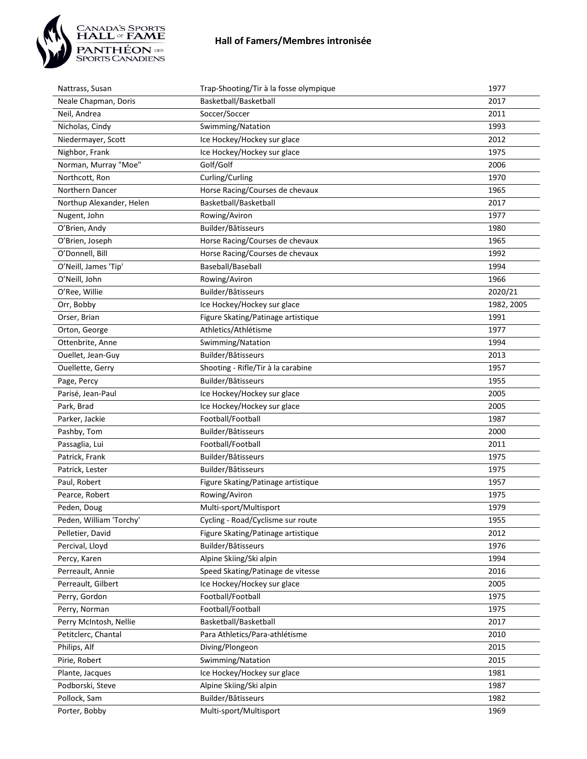

| Nattrass, Susan                        | Trap-Shooting/Tir à la fosse olympique                                  | 1977         |
|----------------------------------------|-------------------------------------------------------------------------|--------------|
| Neale Chapman, Doris                   | Basketball/Basketball                                                   | 2017         |
| Neil, Andrea                           | Soccer/Soccer                                                           | 2011         |
| Nicholas, Cindy                        | Swimming/Natation                                                       | 1993         |
| Niedermayer, Scott                     | Ice Hockey/Hockey sur glace                                             | 2012         |
| Nighbor, Frank                         | Ice Hockey/Hockey sur glace                                             | 1975         |
| Norman, Murray "Moe"                   | Golf/Golf                                                               | 2006         |
| Northcott, Ron                         | Curling/Curling                                                         | 1970         |
| Northern Dancer                        | Horse Racing/Courses de chevaux                                         | 1965         |
| Northup Alexander, Helen               | Basketball/Basketball                                                   | 2017         |
| Nugent, John                           | Rowing/Aviron                                                           | 1977         |
| O'Brien, Andy                          | Builder/Bâtisseurs                                                      | 1980         |
| O'Brien, Joseph                        | Horse Racing/Courses de chevaux                                         | 1965         |
| O'Donnell, Bill                        | Horse Racing/Courses de chevaux                                         | 1992         |
| O'Neill, James 'Tip'                   | Baseball/Baseball                                                       | 1994         |
| O'Neill, John                          | Rowing/Aviron                                                           | 1966         |
| O'Ree, Willie                          | Builder/Bâtisseurs                                                      | 2020/21      |
| Orr, Bobby                             | Ice Hockey/Hockey sur glace                                             | 1982, 2005   |
| Orser, Brian                           | Figure Skating/Patinage artistique                                      | 1991         |
| Orton, George                          | Athletics/Athlétisme                                                    | 1977         |
| Ottenbrite, Anne                       | Swimming/Natation                                                       | 1994         |
| Ouellet, Jean-Guy                      | Builder/Bâtisseurs                                                      | 2013         |
| Ouellette, Gerry                       | Shooting - Rifle/Tir à la carabine                                      | 1957         |
| Page, Percy                            | Builder/Bâtisseurs                                                      | 1955         |
| Parisé, Jean-Paul                      | Ice Hockey/Hockey sur glace                                             | 2005         |
| Park, Brad                             | Ice Hockey/Hockey sur glace                                             | 2005         |
| Parker, Jackie                         | Football/Football                                                       | 1987         |
|                                        | Builder/Bâtisseurs                                                      | 2000         |
| Pashby, Tom                            | Football/Football                                                       | 2011         |
| Passaglia, Lui<br>Patrick, Frank       | Builder/Bâtisseurs                                                      | 1975         |
| Patrick, Lester                        | Builder/Bâtisseurs                                                      | 1975         |
| Paul, Robert                           |                                                                         | 1957         |
| Pearce, Robert                         | Figure Skating/Patinage artistique<br>Rowing/Aviron                     | 1975         |
|                                        |                                                                         |              |
| Peden, Doug<br>Peden, William 'Torchy' | Multi-sport/Multisport                                                  | 1979         |
|                                        | Cycling - Road/Cyclisme sur route<br>Figure Skating/Patinage artistique | 1955         |
| Pelletier, David                       |                                                                         | 2012         |
| Percival, Lloyd                        | Builder/Bâtisseurs<br>Alpine Skiing/Ski alpin                           | 1976<br>1994 |
| Percy, Karen                           |                                                                         |              |
| Perreault, Annie                       | Speed Skating/Patinage de vitesse                                       | 2016         |
| Perreault, Gilbert                     | Ice Hockey/Hockey sur glace                                             | 2005         |
| Perry, Gordon                          | Football/Football                                                       | 1975         |
| Perry, Norman                          | Football/Football                                                       | 1975         |
| Perry McIntosh, Nellie                 | Basketball/Basketball                                                   | 2017         |
| Petitclerc, Chantal                    | Para Athletics/Para-athlétisme                                          | 2010         |
| Philips, Alf                           | Diving/Plongeon                                                         | 2015         |
| Pirie, Robert                          | Swimming/Natation                                                       | 2015         |
| Plante, Jacques                        | Ice Hockey/Hockey sur glace                                             | 1981         |
| Podborski, Steve                       | Alpine Skiing/Ski alpin                                                 | 1987         |
| Pollock, Sam                           | Builder/Bâtisseurs                                                      | 1982         |
| Porter, Bobby                          | Multi-sport/Multisport                                                  | 1969         |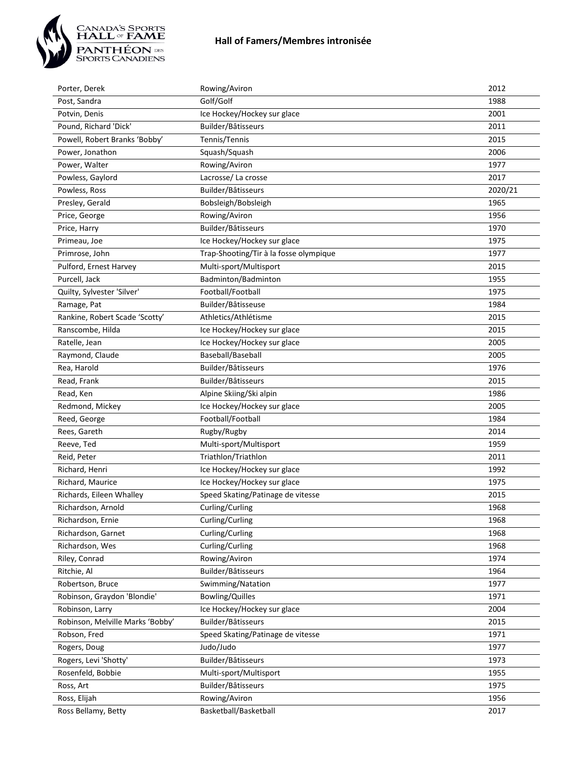

| Porter, Derek                    | Rowing/Aviron                          | 2012    |
|----------------------------------|----------------------------------------|---------|
| Post, Sandra                     | Golf/Golf                              | 1988    |
| Potvin, Denis                    | Ice Hockey/Hockey sur glace            | 2001    |
| Pound, Richard 'Dick'            | Builder/Bâtisseurs                     | 2011    |
| Powell, Robert Branks 'Bobby'    | Tennis/Tennis                          | 2015    |
| Power, Jonathon                  | Squash/Squash                          | 2006    |
| Power, Walter                    | Rowing/Aviron                          | 1977    |
| Powless, Gaylord                 | Lacrosse/La crosse                     | 2017    |
| Powless, Ross                    | Builder/Bâtisseurs                     | 2020/21 |
| Presley, Gerald                  | Bobsleigh/Bobsleigh                    | 1965    |
| Price, George                    | Rowing/Aviron                          | 1956    |
| Price, Harry                     | Builder/Bâtisseurs                     | 1970    |
| Primeau, Joe                     | Ice Hockey/Hockey sur glace            | 1975    |
| Primrose, John                   | Trap-Shooting/Tir à la fosse olympique | 1977    |
| Pulford, Ernest Harvey           | Multi-sport/Multisport                 | 2015    |
| Purcell, Jack                    | Badminton/Badminton                    | 1955    |
| Quilty, Sylvester 'Silver'       | Football/Football                      | 1975    |
| Ramage, Pat                      | Builder/Bâtisseuse                     | 1984    |
| Rankine, Robert Scade 'Scotty'   | Athletics/Athlétisme                   | 2015    |
| Ranscombe, Hilda                 | Ice Hockey/Hockey sur glace            | 2015    |
| Ratelle, Jean                    | Ice Hockey/Hockey sur glace            | 2005    |
| Raymond, Claude                  | Baseball/Baseball                      | 2005    |
| Rea, Harold                      | Builder/Bâtisseurs                     | 1976    |
| Read, Frank                      | Builder/Bâtisseurs                     | 2015    |
| Read, Ken                        | Alpine Skiing/Ski alpin                | 1986    |
| Redmond, Mickey                  | Ice Hockey/Hockey sur glace            | 2005    |
| Reed, George                     | Football/Football                      | 1984    |
| Rees, Gareth                     | Rugby/Rugby                            | 2014    |
| Reeve, Ted                       | Multi-sport/Multisport                 | 1959    |
| Reid, Peter                      | Triathlon/Triathlon                    | 2011    |
| Richard, Henri                   | Ice Hockey/Hockey sur glace            | 1992    |
| Richard, Maurice                 | Ice Hockey/Hockey sur glace            | 1975    |
| Richards, Eileen Whalley         | Speed Skating/Patinage de vitesse      | 2015    |
| Richardson, Arnold               | Curling/Curling                        | 1968    |
| Richardson, Ernie                | Curling/Curling                        | 1968    |
| Richardson, Garnet               | Curling/Curling                        | 1968    |
| Richardson, Wes                  | Curling/Curling                        | 1968    |
| Riley, Conrad                    | Rowing/Aviron                          | 1974    |
| Ritchie, Al                      | Builder/Bâtisseurs                     | 1964    |
| Robertson, Bruce                 | Swimming/Natation                      | 1977    |
| Robinson, Graydon 'Blondie'      | <b>Bowling/Quilles</b>                 | 1971    |
| Robinson, Larry                  | Ice Hockey/Hockey sur glace            | 2004    |
| Robinson, Melville Marks 'Bobby' | Builder/Bâtisseurs                     | 2015    |
| Robson, Fred                     | Speed Skating/Patinage de vitesse      | 1971    |
| Rogers, Doug                     | Judo/Judo                              | 1977    |
| Rogers, Levi 'Shotty'            | Builder/Bâtisseurs                     | 1973    |
| Rosenfeld, Bobbie                | Multi-sport/Multisport                 | 1955    |
| Ross, Art                        | Builder/Bâtisseurs                     | 1975    |
| Ross, Elijah                     | Rowing/Aviron                          | 1956    |
| Ross Bellamy, Betty              | Basketball/Basketball                  | 2017    |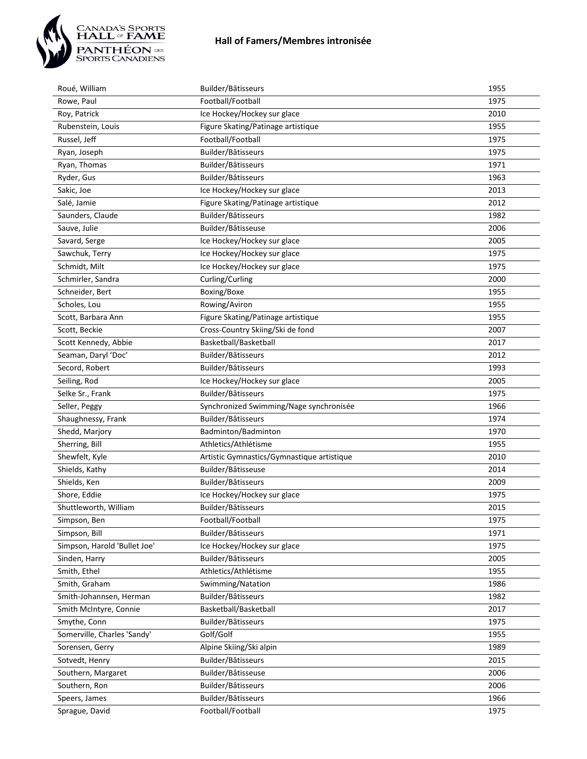

| Roué, William                | Builder/Bâtisseurs                         | 1955 |
|------------------------------|--------------------------------------------|------|
| Rowe, Paul                   | Football/Football                          | 1975 |
| Roy, Patrick                 | Ice Hockey/Hockey sur glace                | 2010 |
| Rubenstein, Louis            | Figure Skating/Patinage artistique         | 1955 |
| Russel, Jeff                 | Football/Football                          | 1975 |
| Ryan, Joseph                 | Builder/Bâtisseurs                         | 1975 |
| Ryan, Thomas                 | Builder/Bâtisseurs                         | 1971 |
| Ryder, Gus                   | Builder/Bâtisseurs                         | 1963 |
| Sakic, Joe                   | Ice Hockey/Hockey sur glace                | 2013 |
| Salé, Jamie                  | Figure Skating/Patinage artistique         | 2012 |
| Saunders, Claude             | Builder/Bâtisseurs                         | 1982 |
| Sauve, Julie                 | Builder/Bâtisseuse                         | 2006 |
| Savard, Serge                | Ice Hockey/Hockey sur glace                | 2005 |
| Sawchuk, Terry               | Ice Hockey/Hockey sur glace                | 1975 |
| Schmidt, Milt                | Ice Hockey/Hockey sur glace                | 1975 |
| Schmirler, Sandra            | Curling/Curling                            | 2000 |
| Schneider, Bert              | Boxing/Boxe                                | 1955 |
| Scholes, Lou                 | Rowing/Aviron                              | 1955 |
| Scott, Barbara Ann           | Figure Skating/Patinage artistique         | 1955 |
| Scott, Beckie                | Cross-Country Skiing/Ski de fond           | 2007 |
| Scott Kennedy, Abbie         | Basketball/Basketball                      | 2017 |
| Seaman, Daryl 'Doc'          | Builder/Bâtisseurs                         | 2012 |
| Secord, Robert               | Builder/Bâtisseurs                         | 1993 |
| Seiling, Rod                 | Ice Hockey/Hockey sur glace                | 2005 |
| Selke Sr., Frank             | Builder/Bâtisseurs                         | 1975 |
| Seller, Peggy                | Synchronized Swimming/Nage synchronisée    | 1966 |
| Shaughnessy, Frank           | Builder/Bâtisseurs                         | 1974 |
| Shedd, Marjory               | Badminton/Badminton                        | 1970 |
| Sherring, Bill               | Athletics/Athlétisme                       | 1955 |
| Shewfelt, Kyle               | Artistic Gymnastics/Gymnastique artistique | 2010 |
| Shields, Kathy               | Builder/Bâtisseuse                         | 2014 |
| Shields, Ken                 | Builder/Bâtisseurs                         | 2009 |
| Shore, Eddie                 | Ice Hockey/Hockey sur glace                | 1975 |
| Shuttleworth, William        | Builder/Bâtisseurs                         | 2015 |
| Simpson, Ben                 | Football/Football                          | 1975 |
| Simpson, Bill                | Builder/Bâtisseurs                         | 1971 |
| Simpson, Harold 'Bullet Joe' | Ice Hockey/Hockey sur glace                | 1975 |
| Sinden, Harry                | Builder/Bâtisseurs                         | 2005 |
| Smith, Ethel                 | Athletics/Athlétisme                       | 1955 |
| Smith, Graham                | Swimming/Natation                          | 1986 |
| Smith-Johannsen, Herman      | Builder/Bâtisseurs                         | 1982 |
| Smith McIntyre, Connie       | Basketball/Basketball                      | 2017 |
| Smythe, Conn                 | Builder/Bâtisseurs                         | 1975 |
| Somerville, Charles 'Sandy'  | Golf/Golf                                  | 1955 |
| Sorensen, Gerry              | Alpine Skiing/Ski alpin                    | 1989 |
| Sotvedt, Henry               | Builder/Bâtisseurs                         | 2015 |
| Southern, Margaret           | Builder/Bâtisseuse                         | 2006 |
| Southern, Ron                | Builder/Bâtisseurs                         | 2006 |
| Speers, James                | Builder/Bâtisseurs                         | 1966 |
| Sprague, David               | Football/Football                          | 1975 |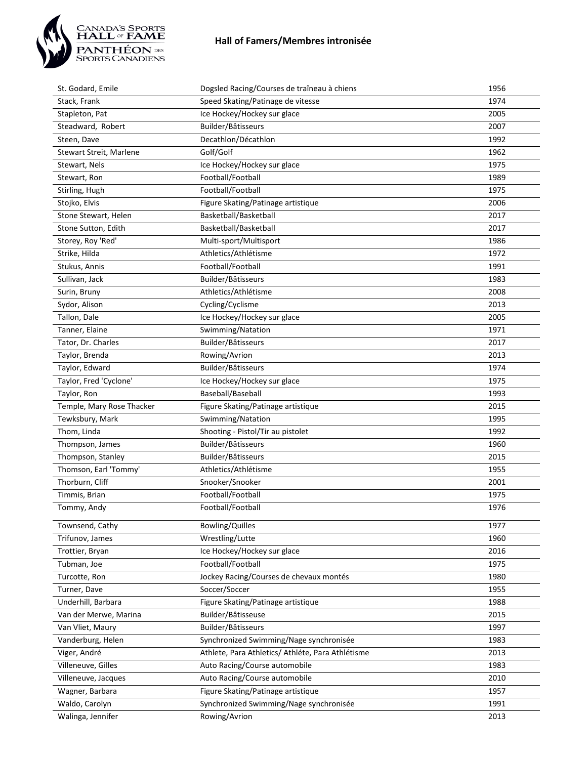

| St. Godard, Emile         | Dogsled Racing/Courses de traîneau à chiens       | 1956 |
|---------------------------|---------------------------------------------------|------|
| Stack, Frank              | Speed Skating/Patinage de vitesse                 | 1974 |
| Stapleton, Pat            | Ice Hockey/Hockey sur glace                       | 2005 |
| Steadward, Robert         | Builder/Bâtisseurs                                | 2007 |
| Steen, Dave               | Decathlon/Décathlon                               | 1992 |
| Stewart Streit, Marlene   | Golf/Golf                                         | 1962 |
| Stewart, Nels             | Ice Hockey/Hockey sur glace                       | 1975 |
| Stewart, Ron              | Football/Football                                 | 1989 |
| Stirling, Hugh            | Football/Football                                 | 1975 |
| Stojko, Elvis             | Figure Skating/Patinage artistique                | 2006 |
| Stone Stewart, Helen      | Basketball/Basketball                             | 2017 |
| Stone Sutton, Edith       | Basketball/Basketball                             | 2017 |
| Storey, Roy 'Red'         | Multi-sport/Multisport                            | 1986 |
| Strike, Hilda             | Athletics/Athlétisme                              | 1972 |
| Stukus, Annis             | Football/Football                                 | 1991 |
| Sullivan, Jack            | Builder/Bâtisseurs                                | 1983 |
| Surin, Bruny              | Athletics/Athlétisme                              | 2008 |
| Sydor, Alison             | Cycling/Cyclisme                                  | 2013 |
| Tallon, Dale              | Ice Hockey/Hockey sur glace                       | 2005 |
| Tanner, Elaine            | Swimming/Natation                                 | 1971 |
| Tator, Dr. Charles        | Builder/Bâtisseurs                                | 2017 |
| Taylor, Brenda            | Rowing/Avrion                                     | 2013 |
| Taylor, Edward            | Builder/Bâtisseurs                                | 1974 |
| Taylor, Fred 'Cyclone'    | Ice Hockey/Hockey sur glace                       | 1975 |
| Taylor, Ron               | Baseball/Baseball                                 | 1993 |
| Temple, Mary Rose Thacker | Figure Skating/Patinage artistique                | 2015 |
| Tewksbury, Mark           | Swimming/Natation                                 | 1995 |
| Thom, Linda               | Shooting - Pistol/Tir au pistolet                 | 1992 |
| Thompson, James           | Builder/Bâtisseurs                                | 1960 |
| Thompson, Stanley         | Builder/Bâtisseurs                                | 2015 |
| Thomson, Earl 'Tommy'     | Athletics/Athlétisme                              | 1955 |
| Thorburn, Cliff           | Snooker/Snooker                                   | 2001 |
| Timmis, Brian             | Football/Football                                 | 1975 |
| Tommy, Andy               | Football/Football                                 | 1976 |
| Townsend, Cathy           | <b>Bowling/Quilles</b>                            | 1977 |
| Trifunov, James           | Wrestling/Lutte                                   | 1960 |
| Trottier, Bryan           | Ice Hockey/Hockey sur glace                       | 2016 |
| Tubman, Joe               | Football/Football                                 | 1975 |
| Turcotte, Ron             | Jockey Racing/Courses de chevaux montés           | 1980 |
| Turner, Dave              | Soccer/Soccer                                     | 1955 |
| Underhill, Barbara        | Figure Skating/Patinage artistique                | 1988 |
| Van der Merwe, Marina     | Builder/Bâtisseuse                                | 2015 |
| Van Vliet, Maury          | Builder/Bâtisseurs                                | 1997 |
| Vanderburg, Helen         | Synchronized Swimming/Nage synchronisée           | 1983 |
| Viger, André              | Athlete, Para Athletics/ Athléte, Para Athlétisme | 2013 |
| Villeneuve, Gilles        | Auto Racing/Course automobile                     | 1983 |
| Villeneuve, Jacques       | Auto Racing/Course automobile                     | 2010 |
| Wagner, Barbara           | Figure Skating/Patinage artistique                | 1957 |
| Waldo, Carolyn            | Synchronized Swimming/Nage synchronisée           | 1991 |
| Walinga, Jennifer         | Rowing/Avrion                                     | 2013 |